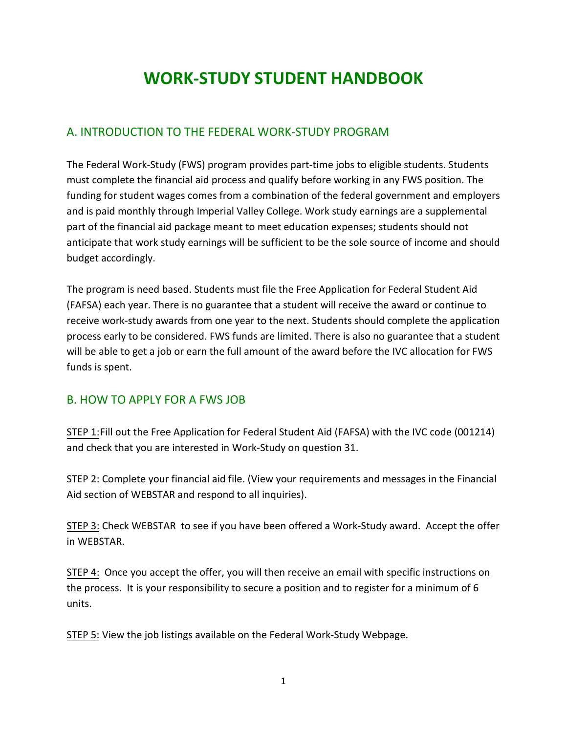# **WORK-STUDY STUDENT HANDBOOK**

## A. INTRODUCTION TO THE FEDERAL WORK-STUDY PROGRAM

The Federal Work-Study (FWS) program provides part-time jobs to eligible students. Students must complete the financial aid process and qualify before working in any FWS position. The funding for student wages comes from a combination of the federal government and employers and is paid monthly through Imperial Valley College. Work study earnings are a supplemental part of the financial aid package meant to meet education expenses; students should not anticipate that work study earnings will be sufficient to be the sole source of income and should budget accordingly.

The program is need based. Students must file the Free Application for Federal Student Aid (FAFSA) each year. There is no guarantee that a student will receive the award or continue to receive work-study awards from one year to the next. Students should complete the application process early to be considered. FWS funds are limited. There is also no guarantee that a student will be able to get a job or earn the full amount of the award before the IVC allocation for FWS funds is spent.

## B. HOW TO APPLY FOR A FWS JOB

STEP 1:Fill out the Free Application for Federal Student Aid (FAFSA) with the IVC code (001214) and check that you are interested in Work-Study on question 31.

STEP 2: Complete your financial aid file. (View your requirements and messages in the Financial Aid section of WEBSTAR and respond to all inquiries).

STEP 3: Check WEBSTAR to see if you have been offered a Work-Study award. Accept the offer in WEBSTAR.

STEP 4: Once you accept the offer, you will then receive an email with specific instructions on the process. It is your responsibility to secure a position and to register for a minimum of 6 units.

STEP 5: View the job listings available on the Federal Work-Study Webpage.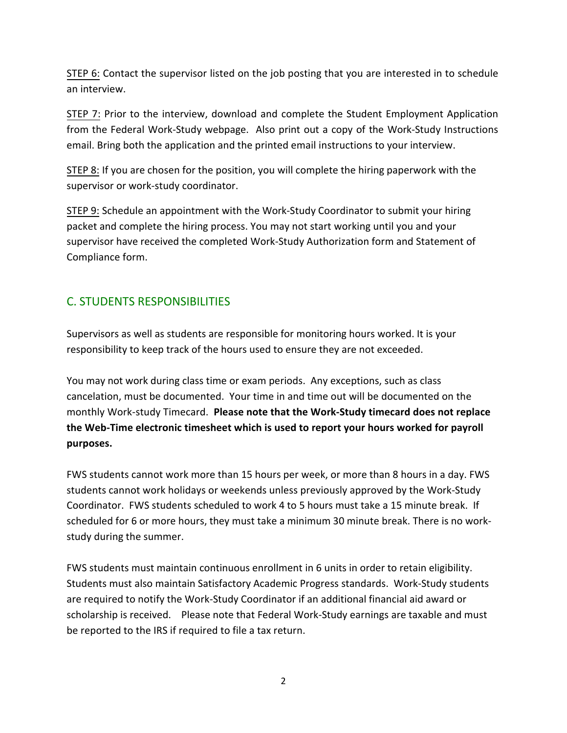STEP 6: Contact the supervisor listed on the job posting that you are interested in to schedule an interview.

STEP 7: Prior to the interview, download and complete the Student Employment Application from the Federal Work-Study webpage. Also print out a copy of the Work-Study Instructions email. Bring both the application and the printed email instructions to your interview.

STEP 8: If you are chosen for the position, you will complete the hiring paperwork with the supervisor or work-study coordinator.

STEP 9: Schedule an appointment with the Work-Study Coordinator to submit your hiring packet and complete the hiring process. You may not start working until you and your supervisor have received the completed Work-Study Authorization form and Statement of Compliance form.

## C. STUDENTS RESPONSIBILITIES

Supervisors as well as students are responsible for monitoring hours worked. It is your responsibility to keep track of the hours used to ensure they are not exceeded.

You may not work during class time or exam periods. Any exceptions, such as class cancelation, must be documented. Your time in and time out will be documented on the monthly Work-study Timecard. **Please note that the Work-Study timecard does not replace the Web-Time electronic timesheet which is used to report your hours worked for payroll purposes.**

FWS students cannot work more than 15 hours per week, or more than 8 hours in a day. FWS students cannot work holidays or weekends unless previously approved by the Work-Study Coordinator. FWS students scheduled to work 4 to 5 hours must take a 15 minute break. If scheduled for 6 or more hours, they must take a minimum 30 minute break. There is no workstudy during the summer.

FWS students must maintain continuous enrollment in 6 units in order to retain eligibility. Students must also maintain Satisfactory Academic Progress standards. Work-Study students are required to notify the Work-Study Coordinator if an additional financial aid award or scholarship is received. Please note that Federal Work-Study earnings are taxable and must be reported to the IRS if required to file a tax return.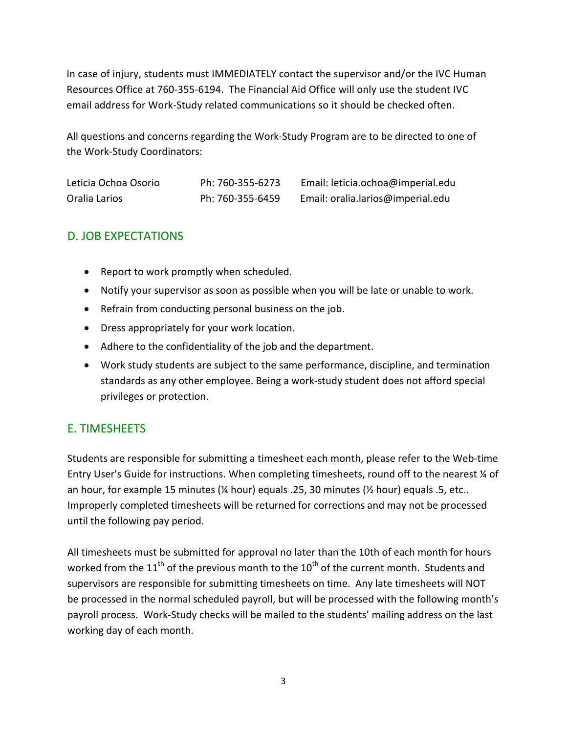In case of injury, students must IMMEDIATELY contact the supervisor and/or the IVC Human Resources Office at 760-355-6194. The Financial Aid Office will only use the student IVC email address for Work-Study related communications so it should be checked often.

All questions and concerns regarding the Work-Study Pro[gram are to be](mailto:leticia.santiago@imperial.edu) directed to one of the Work-Study Coordinators:

| Leticia Ochoa Osorio | Ph: 760-355-6273 | Email: leticia.ochoa@imperial.edu |
|----------------------|------------------|-----------------------------------|
| Oralia Larios        | Ph: 760-355-6459 | Email: oralia.larios@imperial.edu |

## D. JOB EXPECTATIONS

- Report to work promptly when scheduled.
- Notify your supervisor as soon as possible when you will be late or unable to work.
- Refrain from conducting personal business on the job.
- Dress appropriately for your work location.
- Adhere to the confidentiality of the job and the department.
- Work study students are subject to the same performance, discipline, and termination standards as any other employee. Being a work-study student does not afford special privileges or protection.

## E. TIMESHEETS

Students are responsible for submitting a timesheet each month, please refer to the Web-time Entry User's Guide for instructions. When completing timesheets, round off to the nearest ¼ of an hour, for example 15 minutes ( $\frac{1}{4}$  hour) equals .25, 30 minutes ( $\frac{1}{2}$  hour) equals .5, etc.. Improperly completed timesheets will be returned for corrections and may not be processed until the following pay period.

All timesheets must be submitted for approval no later than the 10th of each month for hours worked from the  $11<sup>th</sup>$  of the previous month to the  $10<sup>th</sup>$  of the current month. Students and supervisors are responsible for submitting timesheets on time. Any late timesheets will NOT be processed in the normal scheduled payroll, but will be processed with the following month's payroll process. Work-Study checks will be mailed to the students' mailing address on the last working day of each month.